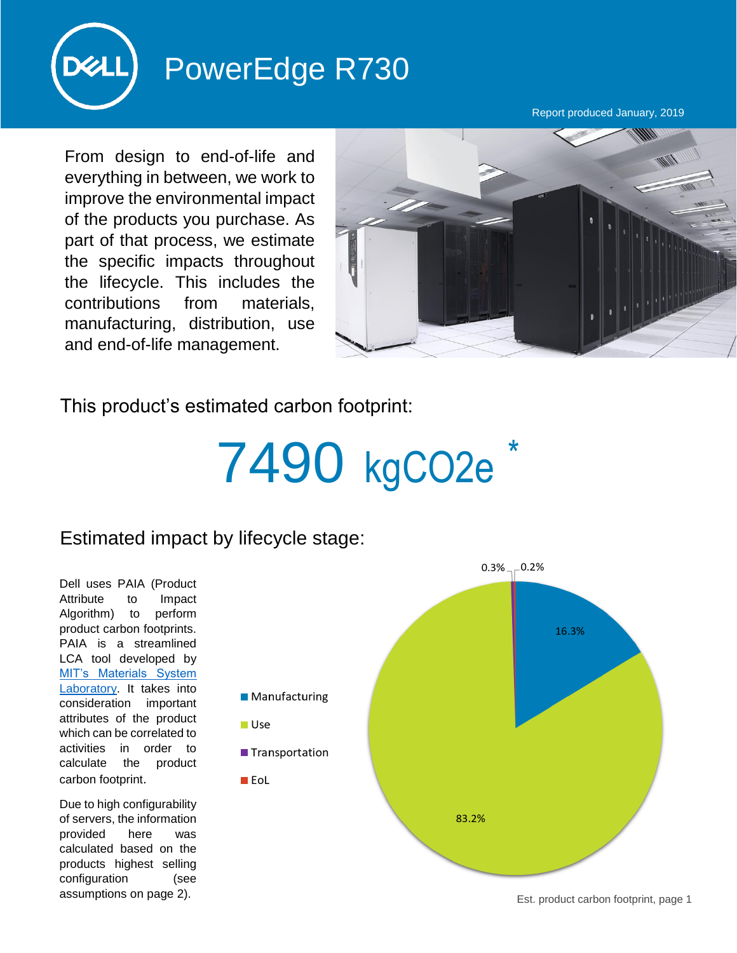

## PowerEdge R730

Report produced January, 2019

From design to end-of-life and everything in between, we work to improve the environmental impact of the products you purchase. As part of that process, we estimate the specific impacts throughout the lifecycle. This includes the contributions from materials, manufacturing, distribution, use and end-of-life management.



This product's estimated carbon footprint:

## 7490 kgCO2e

## Estimated impact by lifecycle stage:

Dell uses PAIA (Product Attribute to Impact Algorithm) to perform product carbon footprints. PAIA is a streamlined LCA tool developed by [MIT's Materials System](http://msl.mit.edu/projects/paia/main.html)  [Laboratory.](http://msl.mit.edu/projects/paia/main.html) It takes into consideration important attributes of the product which can be correlated to activities in order to calculate the product carbon footprint.

Due to high configurability of servers, the information provided here was calculated based on the products highest selling configuration (see assumptions on page 2).